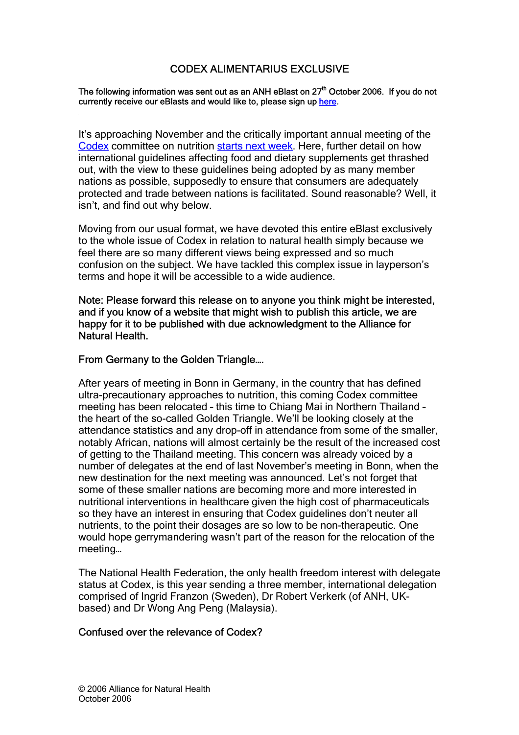# CODEX ALIMENTARIUS EXCLUSIVE

#### The following information was sent out as an ANH eBlast on 27<sup>th</sup> October 2006. If you do not currently receive our eBlasts and would like to, please sign up here.

It's approaching November and the critically important annual meeting of the Codex committee on nutrition starts next week. Here, further detail on how international guidelines affecting food and dietary supplements get thrashed out, with the view to these guidelines being adopted by as many member nations as possible, supposedly to ensure that consumers are adequately protected and trade between nations is facilitated. Sound reasonable? Well, it isn't, and find out why below.

Moving from our usual format, we have devoted this entire eBlast exclusively to the whole issue of Codex in relation to natural health simply because we feel there are so many different views being expressed and so much confusion on the subject. We have tackled this complex issue in layperson's terms and hope it will be accessible to a wide audience.

Note: Please forward this release on to anyone you think might be interested, and if you know of a website that might wish to publish this article, we are happy for it to be published with due acknowledgment to the Alliance for Natural Health.

### From Germany to the Golden Triangle….

After years of meeting in Bonn in Germany, in the country that has defined ultra-precautionary approaches to nutrition, this coming Codex committee meeting has been relocated – this time to Chiang Mai in Northern Thailand – the heart of the so-called Golden Triangle. We'll be looking closely at the attendance statistics and any drop-off in attendance from some of the smaller, notably African, nations will almost certainly be the result of the increased cost of getting to the Thailand meeting. This concern was already voiced by a number of delegates at the end of last November's meeting in Bonn, when the new destination for the next meeting was announced. Let's not forget that some of these smaller nations are becoming more and more interested in nutritional interventions in healthcare given the high cost of pharmaceuticals so they have an interest in ensuring that Codex guidelines don't neuter all nutrients, to the point their dosages are so low to be non-therapeutic. One would hope gerrymandering wasn't part of the reason for the relocation of the meeting…

The National Health Federation, the only health freedom interest with delegate status at Codex, is this year sending a three member, international delegation comprised of Ingrid Franzon (Sweden), Dr Robert Verkerk (of ANH, UKbased) and Dr Wong Ang Peng (Malaysia).

#### Confused over the relevance of Codex?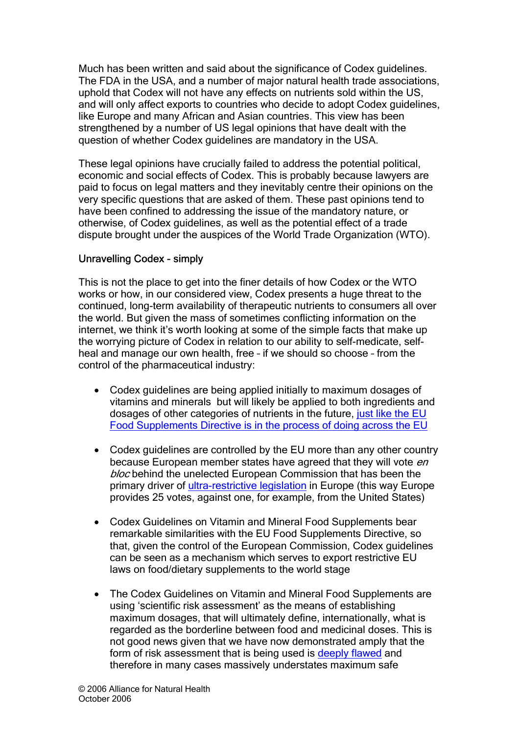Much has been written and said about the significance of Codex guidelines. The FDA in the USA, and a number of major natural health trade associations, uphold that Codex will not have any effects on nutrients sold within the US, and will only affect exports to countries who decide to adopt Codex guidelines, like Europe and many African and Asian countries. This view has been strengthened by a number of US legal opinions that have dealt with the question of whether Codex guidelines are mandatory in the USA.

These legal opinions have crucially failed to address the potential political, economic and social effects of Codex. This is probably because lawyers are paid to focus on legal matters and they inevitably centre their opinions on the very specific questions that are asked of them. These past opinions tend to have been confined to addressing the issue of the mandatory nature, or otherwise, of Codex guidelines, as well as the potential effect of a trade dispute brought under the auspices of the World Trade Organization (WTO).

## Unravelling Codex - simply

This is not the place to get into the finer details of how Codex or the WTO works or how, in our considered view, Codex presents a huge threat to the continued, long-term availability of therapeutic nutrients to consumers all over the world. But given the mass of sometimes conflicting information on the internet, we think it's worth looking at some of the simple facts that make up the worrying picture of Codex in relation to our ability to self-medicate, selfheal and manage our own health, free – if we should so choose – from the control of the pharmaceutical industry:

- Codex guidelines are being applied initially to maximum dosages of vitamins and minerals but will likely be applied to both ingredients and dosages of other categories of nutrients in the future, just like the EU Food Supplements Directive is in the process of doing across the EU
- Codex guidelines are controlled by the EU more than any other country because European member states have agreed that they will vote en bloc behind the unelected European Commission that has been the primary driver of ultra-restrictive legislation in Europe (this way Europe provides 25 votes, against one, for example, from the United States)
- Codex Guidelines on Vitamin and Mineral Food Supplements bear remarkable similarities with the EU Food Supplements Directive, so that, given the control of the European Commission, Codex guidelines can be seen as a mechanism which serves to export restrictive EU laws on food/dietary supplements to the world stage
- The Codex Guidelines on Vitamin and Mineral Food Supplements are using 'scientific risk assessment' as the means of establishing maximum dosages, that will ultimately define, internationally, what is regarded as the borderline between food and medicinal doses. This is not good news given that we have now demonstrated amply that the form of risk assessment that is being used is deeply flawed and therefore in many cases massively understates maximum safe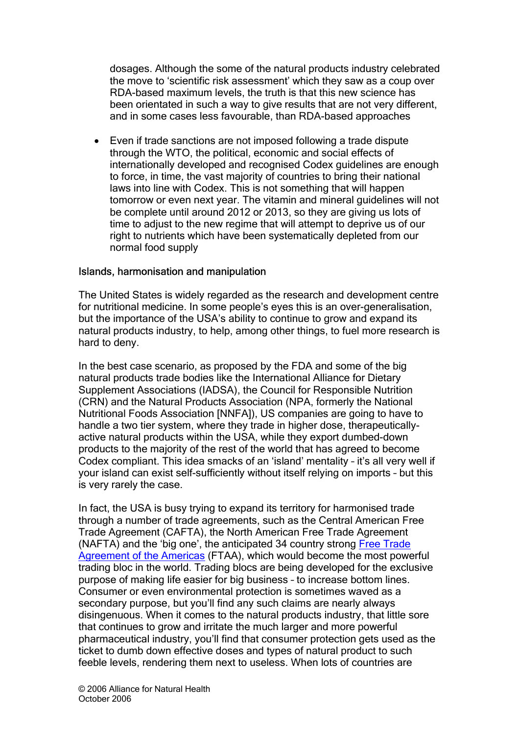dosages. Although the some of the natural products industry celebrated the move to 'scientific risk assessment' which they saw as a coup over RDA-based maximum levels, the truth is that this new science has been orientated in such a way to give results that are not very different, and in some cases less favourable, than RDA-based approaches

• Even if trade sanctions are not imposed following a trade dispute through the WTO, the political, economic and social effects of internationally developed and recognised Codex guidelines are enough to force, in time, the vast majority of countries to bring their national laws into line with Codex. This is not something that will happen tomorrow or even next year. The vitamin and mineral guidelines will not be complete until around 2012 or 2013, so they are giving us lots of time to adjust to the new regime that will attempt to deprive us of our right to nutrients which have been systematically depleted from our normal food supply

### Islands, harmonisation and manipulation

The United States is widely regarded as the research and development centre for nutritional medicine. In some people's eyes this is an over-generalisation, but the importance of the USA's ability to continue to grow and expand its natural products industry, to help, among other things, to fuel more research is hard to deny.

In the best case scenario, as proposed by the FDA and some of the big natural products trade bodies like the International Alliance for Dietary Supplement Associations (IADSA), the Council for Responsible Nutrition (CRN) and the Natural Products Association (NPA, formerly the National Nutritional Foods Association [NNFA]), US companies are going to have to handle a two tier system, where they trade in higher dose, therapeuticallyactive natural products within the USA, while they export dumbed-down products to the majority of the rest of the world that has agreed to become Codex compliant. This idea smacks of an 'island' mentality – it's all very well if your island can exist self-sufficiently without itself relying on imports – but this is very rarely the case.

In fact, the USA is busy trying to expand its territory for harmonised trade through a number of trade agreements, such as the Central American Free Trade Agreement (CAFTA), the North American Free Trade Agreement (NAFTA) and the 'big one', the anticipated 34 country strong Free Trade Agreement of the Americas (FTAA), which would become the most powerful trading bloc in the world. Trading blocs are being developed for the exclusive purpose of making life easier for big business – to increase bottom lines. Consumer or even environmental protection is sometimes waved as a secondary purpose, but you'll find any such claims are nearly always disingenuous. When it comes to the natural products industry, that little sore that continues to grow and irritate the much larger and more powerful pharmaceutical industry, you'll find that consumer protection gets used as the ticket to dumb down effective doses and types of natural product to such feeble levels, rendering them next to useless. When lots of countries are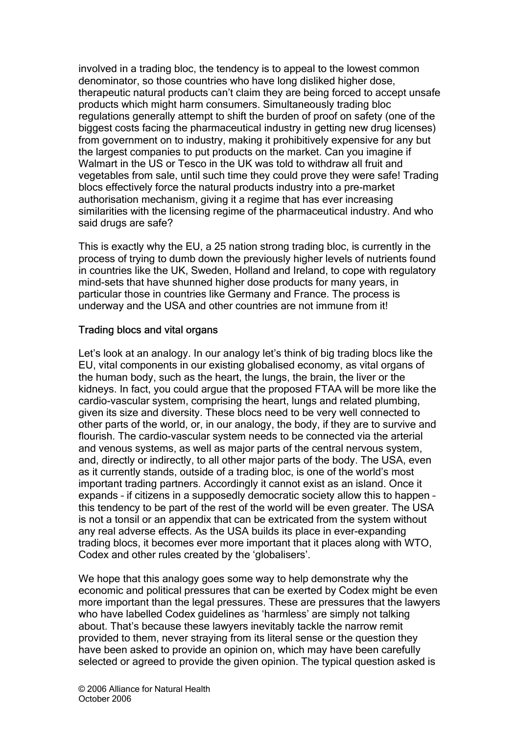involved in a trading bloc, the tendency is to appeal to the lowest common denominator, so those countries who have long disliked higher dose, therapeutic natural products can't claim they are being forced to accept unsafe products which might harm consumers. Simultaneously trading bloc regulations generally attempt to shift the burden of proof on safety (one of the biggest costs facing the pharmaceutical industry in getting new drug licenses) from government on to industry, making it prohibitively expensive for any but the largest companies to put products on the market. Can you imagine if Walmart in the US or Tesco in the UK was told to withdraw all fruit and vegetables from sale, until such time they could prove they were safe! Trading blocs effectively force the natural products industry into a pre-market authorisation mechanism, giving it a regime that has ever increasing similarities with the licensing regime of the pharmaceutical industry. And who said drugs are safe?

This is exactly why the EU, a 25 nation strong trading bloc, is currently in the process of trying to dumb down the previously higher levels of nutrients found in countries like the UK, Sweden, Holland and Ireland, to cope with regulatory mind-sets that have shunned higher dose products for many years, in particular those in countries like Germany and France. The process is underway and the USA and other countries are not immune from it!

## Trading blocs and vital organs

Let's look at an analogy. In our analogy let's think of big trading blocs like the EU, vital components in our existing globalised economy, as vital organs of the human body, such as the heart, the lungs, the brain, the liver or the kidneys. In fact, you could argue that the proposed FTAA will be more like the cardio-vascular system, comprising the heart, lungs and related plumbing, given its size and diversity. These blocs need to be very well connected to other parts of the world, or, in our analogy, the body, if they are to survive and flourish. The cardio-vascular system needs to be connected via the arterial and venous systems, as well as major parts of the central nervous system, and, directly or indirectly, to all other major parts of the body. The USA, even as it currently stands, outside of a trading bloc, is one of the world's most important trading partners. Accordingly it cannot exist as an island. Once it expands – if citizens in a supposedly democratic society allow this to happen – this tendency to be part of the rest of the world will be even greater. The USA is not a tonsil or an appendix that can be extricated from the system without any real adverse effects. As the USA builds its place in ever-expanding trading blocs, it becomes ever more important that it places along with WTO, Codex and other rules created by the 'globalisers'.

We hope that this analogy goes some way to help demonstrate why the economic and political pressures that can be exerted by Codex might be even more important than the legal pressures. These are pressures that the lawyers who have labelled Codex guidelines as 'harmless' are simply not talking about. That's because these lawyers inevitably tackle the narrow remit provided to them, never straying from its literal sense or the question they have been asked to provide an opinion on, which may have been carefully selected or agreed to provide the given opinion. The typical question asked is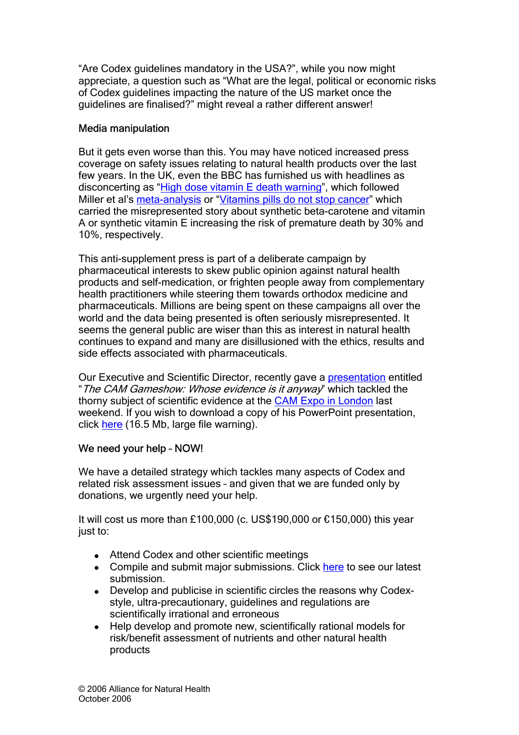"Are Codex guidelines mandatory in the USA?", while you now might appreciate, a question such as "What are the legal, political or economic risks of Codex guidelines impacting the nature of the US market once the guidelines are finalised?" might reveal a rather different answer!

## Media manipulation

But it gets even worse than this. You may have noticed increased press coverage on safety issues relating to natural health products over the last few years. In the UK, even the BBC has furnished us with headlines as disconcerting as "High dose vitamin E death warning", which followed Miller et al's meta-analysis or "Vitamins pills do not stop cancer" which carried the misrepresented story about synthetic beta-carotene and vitamin A or synthetic vitamin E increasing the risk of premature death by 30% and 10%, respectively.

This anti-supplement press is part of a deliberate campaign by pharmaceutical interests to skew public opinion against natural health products and self-medication, or frighten people away from complementary health practitioners while steering them towards orthodox medicine and pharmaceuticals. Millions are being spent on these campaigns all over the world and the data being presented is often seriously misrepresented. It seems the general public are wiser than this as interest in natural health continues to expand and many are disillusioned with the ethics, results and side effects associated with pharmaceuticals.

Our Executive and Scientific Director, recently gave a presentation entitled "The CAM Gameshow: Whose evidence is it anyway" which tackled the thorny subject of scientific evidence at the CAM Expo in London last weekend. If you wish to download a copy of his PowerPoint presentation, click here (16.5 Mb, large file warning).

# We need your help – NOW!

We have a detailed strategy which tackles many aspects of Codex and related risk assessment issues – and given that we are funded only by donations, we urgently need your help.

It will cost us more than £100,000 (c. US\$190,000 or €150,000) this year just to:

- . Attend Codex and other scientific meetings
- . Compile and submit major submissions. Click here to see our latest submission.
- Develop and publicise in scientific circles the reasons why Codexstyle, ultra-precautionary, guidelines and regulations are scientifically irrational and erroneous
- Help develop and promote new, scientifically rational models for risk/benefit assessment of nutrients and other natural health products